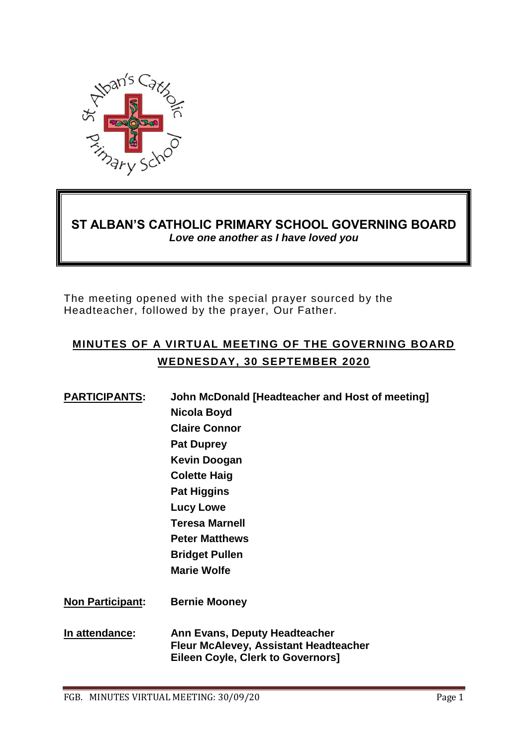

# **ST ALBAN'S CATHOLIC PRIMARY SCHOOL GOVERNING BOARD** *Love one another as I have loved you*

The meeting opened with the special prayer sourced by the Headteacher, followed by the prayer, Our Father.

# **MINUTES OF A VIRTUAL MEETING OF THE GOVERNING BOARD WEDNESDAY, 30 SEPTEMBER 2020**

| <b>PARTICIPANTS:</b>    | John McDonald [Headteacher and Host of meeting]                                                                           |
|-------------------------|---------------------------------------------------------------------------------------------------------------------------|
|                         | Nicola Boyd                                                                                                               |
|                         | <b>Claire Connor</b>                                                                                                      |
|                         | <b>Pat Duprey</b>                                                                                                         |
|                         | <b>Kevin Doogan</b>                                                                                                       |
|                         | <b>Colette Haig</b>                                                                                                       |
|                         | <b>Pat Higgins</b>                                                                                                        |
|                         | <b>Lucy Lowe</b>                                                                                                          |
|                         | <b>Teresa Marnell</b>                                                                                                     |
|                         | <b>Peter Matthews</b>                                                                                                     |
|                         | <b>Bridget Pullen</b>                                                                                                     |
|                         | <b>Marie Wolfe</b>                                                                                                        |
| <b>Non Participant:</b> | <b>Bernie Mooney</b>                                                                                                      |
| In attendance:          | Ann Evans, Deputy Headteacher<br><b>Fleur McAlevey, Assistant Headteacher</b><br><b>Eileen Coyle, Clerk to Governors]</b> |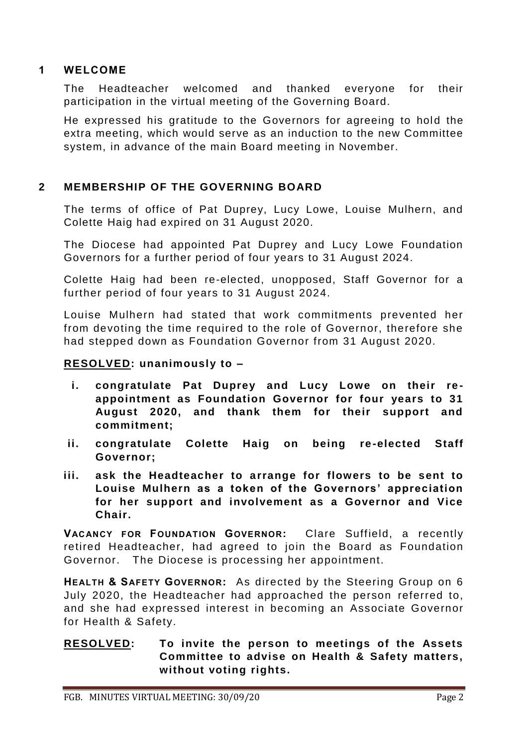### **1 WELCOME**

The Headteacher welcomed and thanked everyone for their participation in the virtual meeting of the Governing Board.

He expressed his gratitude to the Governors for agreeing to hold the extra meeting, which would serve as an induction to the new Committee system, in advance of the main Board meeting in November.

## **2 MEMBERSHIP OF THE GOVERNING BOARD**

The terms of office of Pat Duprey, Lucy Lowe, Louise Mulhern, and Colette Haig had expired on 31 August 2020.

The Diocese had appointed Pat Duprey and Lucy Lowe Foundation Governors for a further period of four years to 31 August 2024.

Colette Haig had been re-elected, unopposed, Staff Governor for a further period of four years to 31 August 2024.

Louise Mulhern had stated that work commitments prevented her from devoting the time required to the role of Governor, therefore she had stepped down as Foundation Governor from 31 August 2020.

### **RESOLVED: unanimously to –**

- **i.** congratulate Pat Duprey and Lucy Lowe on their re**appointment as Foundation Governor for four years to 31 August 2020, and thank them for their support and commitment;**
- **ii. congratulate Colette Haig on being re -elected Staff Governor;**
- **iii. ask the Headteacher to arrange for flowers to be sent to Louise Mulhern as a token of the Governors' appreciation for her support and involvement as a Governor and Vice Chair.**

**VACANCY FOR FOUNDATION GOVERNOR:** Clare Suffield, a recently retired Headteacher, had agreed to join the Board as Foundation Governor. The Diocese is processing her appointment.

**HEALTH & SAFETY GOVERNOR:** As directed by the Steering Group on 6 July 2020, the Headteacher had approached the person referred to, and she had expressed interest in becoming an Associate Governor for Health & Safety.

### **RESOLVED: To invite the person to meetings of the Assets Committee to advise on Health & Safety matters, without voting rights.**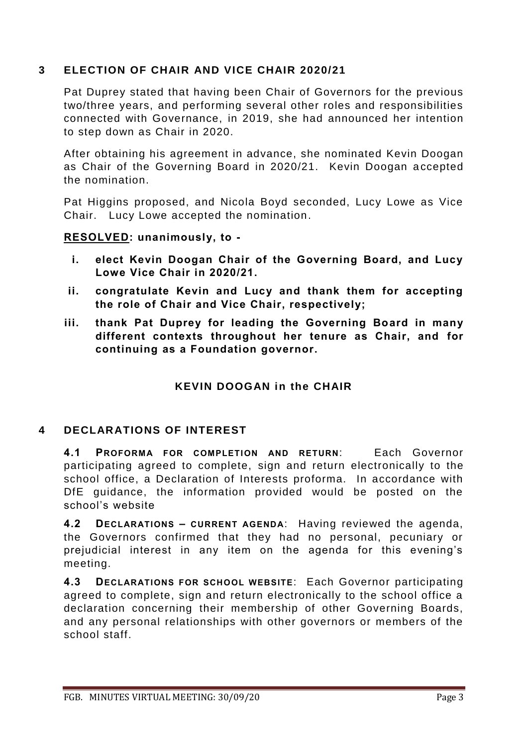## **3 ELECTION OF CHAIR AND VICE CHAIR 2020/21**

Pat Duprey stated that having been Chair of Governors for the previous two/three years, and performing several other roles and responsibilities connected with Governance, in 2019, she had announced her intention to step down as Chair in 2020.

After obtaining his agreement in advance, she nominated Kevin Doogan as Chair of the Governing Board in 2020/21. Kevin Doogan a ccepted the nomination.

Pat Higgins proposed, and Nicola Boyd seconded, Lucy Lowe as Vice Chair. Lucy Lowe accepted the nomination.

#### **RESOLVED: unanimously, to -**

- **i. elect Kevin Doogan Chair of the Governing Board, and Lucy Lowe Vice Chair in 2020/21.**
- **ii. congratulate Kevin and Lucy and thank them for accepting the role of Chair and Vice Chair, respectively;**
- **iii. thank Pat Duprey for leading the Governing Board in many different contexts throughout her tenure as Chair, and for continuing as a Foundation governor.**

### **KEVIN DOOGAN in the CHAIR**

### **4 DECLARATIONS OF INTEREST**

**4.1 PROFORMA FOR COMPLETION AND RETURN**: Each Governor participating agreed to complete, sign and return electronically to the school office, a Declaration of Interests proforma. In accordance with DfE guidance, the information provided would be posted on the school's website

**4.2 DECLARATIONS – CURRENT AGENDA**: Having reviewed the agenda, the Governors confirmed that they had no personal, pecuniary or prejudicial interest in any item on the agenda for this evening's meeting.

**4.3 DECLARATIONS FOR SCHOOL WEBSITE**: Each Governor participating agreed to complete, sign and return electronically to the school office a declaration concerning their membership of other Governing Boards, and any personal relationships with other governors or members of the school staff.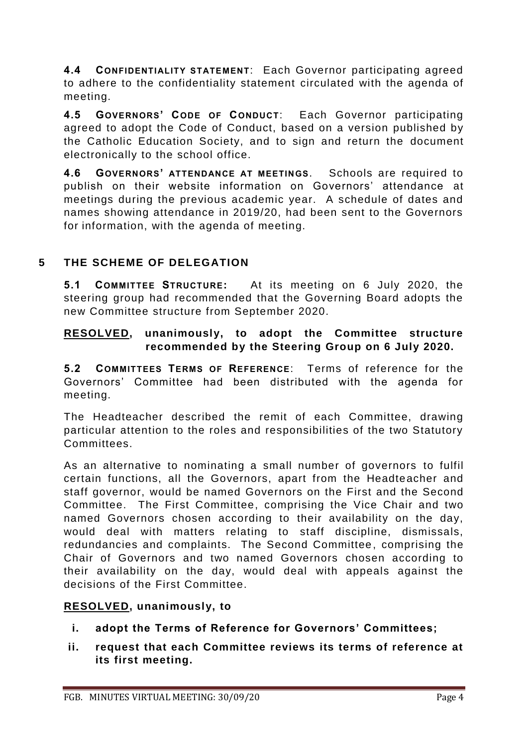**4.4 CONFIDENTIALITY STATEMENT**: Each Governor participating agreed to adhere to the confidentiality statement circulated with the agenda of meeting.

**4.5 GOVERNORS' CODE OF CONDUCT**: Each Governor participating agreed to adopt the Code of Conduct, based on a version published by the Catholic Education Society, and to sign and return the document electronically to the school office.

**4.6 GOVERNORS' ATTENDANCE AT MEETINGS**. Schools are required to publish on their website information on Governors' attendance at meetings during the previous academic year. A schedule of dates and names showing attendance in 2019/20, had been sent to the Governors for information, with the agenda of meeting.

# **5 THE SCHEME OF DELEGATION**

**5.1 COMMITTEE STRUCTURE:** At its meeting on 6 July 2020, the steering group had recommended that the Governing Board adopts the new Committee structure from September 2020.

### **RESOLVED, unanimously, to adopt the Committee structure recommended by the Steering Group on 6 July 2020.**

**5.2 COMMITTEES TERMS OF REFERENCE**: Terms of reference for the Governors' Committee had been distributed with the agenda for meeting.

The Headteacher described the remit of each Committee, drawing particular attention to the roles and responsibilities of the two Statutory Committees.

As an alternative to nominating a small number of governors to fulfil certain functions, all the Governors, apart from the Headteacher and staff governor, would be named Governors on the First and the Second Committee. The First Committee, comprising the Vice Chair and two named Governors chosen according to their availability on the day, would deal with matters relating to staff discipline, dismissals, redundancies and complaints. The Second Committee, comprising the Chair of Governors and two named Governors chosen according to their availability on the day, would deal with appeals against the decisions of the First Committee.

## **RESOLVED, unanimously, to**

- **i. adopt the Terms of Reference for Governors' Committees;**
- **ii. request that each Committee reviews its terms of reference at its first meeting.**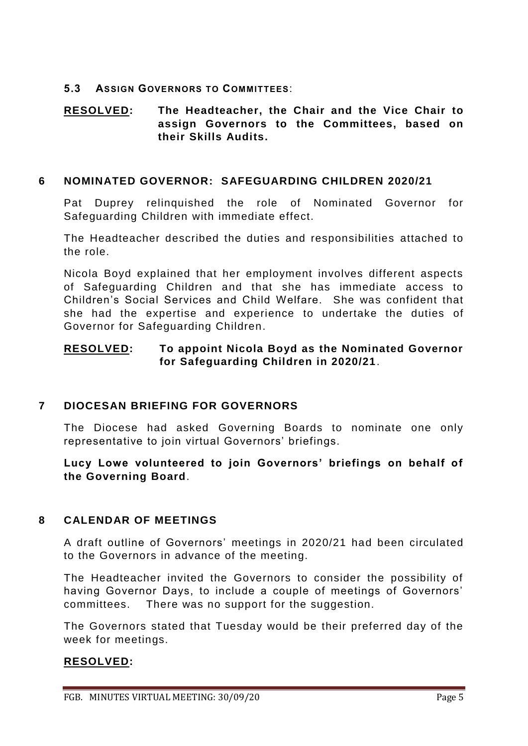#### **5.3 ASSIGN GOVERNORS TO COMMITTEES**:

### **RESOLVED: The Headteacher, the Chair and the Vice Chair to assign Governors to the Committees, based on their Skills Audits.**

#### **6 NOMINATED GOVERNOR: SAFEGUARDING CHILDREN 2020/21**

Pat Duprey relinquished the role of Nominated Governor for Safeguarding Children with immediate effect.

The Headteacher described the duties and responsibilities attached to the role.

Nicola Boyd explained that her employment involves different aspects of Safeguarding Children and that she has immediate access to Children's Social Services and Child Welfare. She was confident that she had the expertise and experience to undertake the duties of Governor for Safeguarding Children.

### **RESOLVED: To appoint Nicola Boyd as the Nominated Governor for Safeguarding Children in 2020/21**.

### **7 DIOCESAN BRIEFING FOR GOVERNORS**

The Diocese had asked Governing Boards to nominate one only representative to join virtual Governors' briefings.

**Lucy Lowe volunteered to join Governors' briefings on behalf of the Governing Board**.

### **8 CALENDAR OF MEETINGS**

A draft outline of Governors' meetings in 2020/21 had been circulated to the Governors in advance of the meeting.

The Headteacher invited the Governors to consider the possibility of having Governor Days, to include a couple of meetings of Governors' committees. There was no support for the suggestion.

The Governors stated that Tuesday would be their preferred day of the week for meetings.

### **RESOLVED:**